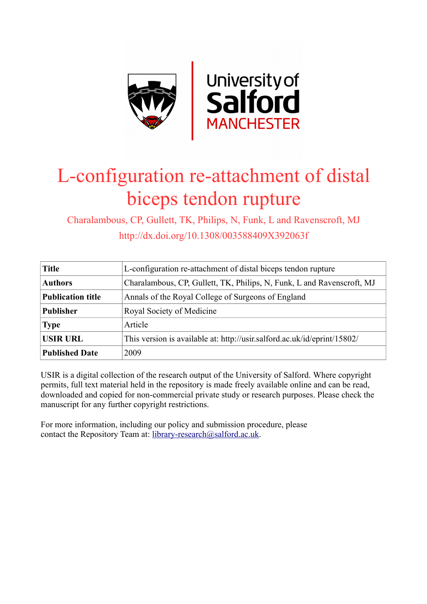

# L-configuration re-attachment of distal biceps tendon rupture

Charalambous, CP, Gullett, TK, Philips, N, Funk, L and Ravenscroft, MJ http://dx.doi.org/10.1308/003588409X392063f

| <b>Title</b>             | L-configuration re-attachment of distal biceps tendon rupture            |
|--------------------------|--------------------------------------------------------------------------|
| <b>Authors</b>           | Charalambous, CP, Gullett, TK, Philips, N, Funk, L and Ravenscroft, MJ   |
| <b>Publication title</b> | Annals of the Royal College of Surgeons of England                       |
| <b>Publisher</b>         | Royal Society of Medicine                                                |
| <b>Type</b>              | Article                                                                  |
| <b>USIR URL</b>          | This version is available at: http://usir.salford.ac.uk/id/eprint/15802/ |
| <b>Published Date</b>    | 2009                                                                     |

USIR is a digital collection of the research output of the University of Salford. Where copyright permits, full text material held in the repository is made freely available online and can be read, downloaded and copied for non-commercial private study or research purposes. Please check the manuscript for any further copyright restrictions.

For more information, including our policy and submission procedure, please contact the Repository Team at: [library-research@salford.ac.uk.](mailto:library-research@salford.ac.uk)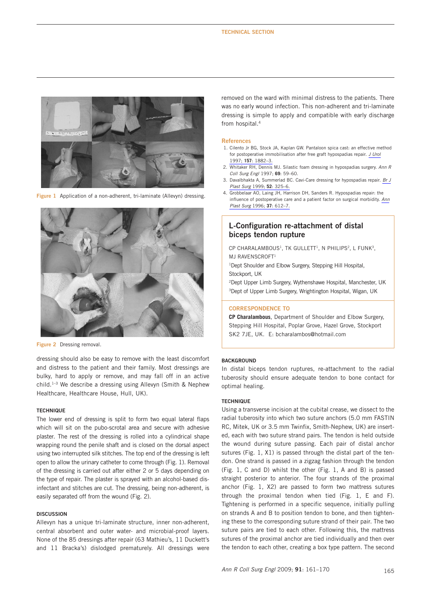

Figure 1 Application of a non-adherent, tri-laminate (Allevyn) dressing.



Figure 2 Dressing removal.

dressing should also be easy to remove with the least discomfort and distress to the patient and their family. Most dressings are bulky, hard to apply or remove, and may fall off in an active child.<sup>1-3</sup> We describe a dressing using Allevyn (Smith & Nephew Healthcare, Healthcare House, Hull, UK).

## **TECHNIQUE**

The lower end of dressing is split to form two equal lateral flaps which will sit on the pubo-scrotal area and secure with adhesive plaster. The rest of the dressing is rolled into a cylindrical shape wrapping round the penile shaft and is closed on the dorsal aspect using two interrupted silk stitches. The top end of the dressing is left open to allow the urinary catheter to come through (Fig. 1). Removal of the dressing is carried out after either 2 or 5 days depending on the type of repair. The plaster is sprayed with an alcohol-based disinfectant and stitches are cut. The dressing, being non-adherent, is easily separated off from the wound (Fig. 2).

## **DISCUSSION**

Allevyn has a unique tri-laminate structure, inner non-adherent, central absorbent and outer water- and microbial-proof layers. None of the 85 dressings after repair (63 Mathieu's, 11 Duckett's and 11 Bracka's) dislodged prematurely. All dressings were

removed on the ward with minimal distress to the patients. There was no early wound infection. This non-adherent and tri-laminate dressing is simple to apply and compatible with early discharge from hospital.<sup>4</sup>

#### **References**

- 1. Cilento Jr BG, Stock JA, Kaplan GW, Pantaloon spica cast: an effective method for postoperative immobilisation after free graft hypospadias repair. J Urol 1997: 157: 1882-3.
- 2. Whitaker RH, Dennis MJ. Silastic foam dressing in hypospadias surgery. Ann R Coll Surg Engl 1997; 69: 59-60.
- 3. Davalbhakta A, Summerlad BC. Cavi-Care dressing for hypospadias repair. Br J Plast Surg 1999; 52: 325-6.
- 4. Grobbelaar AO, Laing JH, Harrison DH, Sanders R. Hypospadias repair: the influence of postoperative care and a patient factor on surgical morbidity. Ann Plast Surg 1996; 37: 612-7.

# L-Configuration re-attachment of distal biceps tendon rupture

CP CHARALAMBOUS<sup>1</sup>, TK GULLETT<sup>1</sup>, N PHILIPS<sup>2</sup>, L FUNK<sup>3</sup>, MJ RAVENSCROFT<sup>1</sup>

<sup>1</sup>Dept Shoulder and Elbow Surgery, Stepping Hill Hospital, Stockport, UK

<sup>2</sup>Dept Upper Limb Surgery, Wythenshawe Hospital, Manchester, UK <sup>3</sup>Dept of Upper Limb Surgery, Wrightington Hospital, Wigan, UK

## **CORRESPONDENCE TO**

CP Charalambous, Department of Shoulder and Elbow Surgery, Stepping Hill Hospital, Poplar Grove, Hazel Grove, Stockport SK2 7JE, UK. E: bcharalambos@hotmail.com

## **BACKGROUND**

In distal biceps tendon ruptures, re-attachment to the radial tuberosity should ensure adequate tendon to bone contact for optimal healing.

## **TECHNIQUE**

Using a transverse incision at the cubital crease, we dissect to the radial tuberosity into which two suture anchors (5.0 mm FASTIN RC, Mitek, UK or 3.5 mm Twinfix, Smith-Nephew, UK) are inserted, each with two suture strand pairs. The tendon is held outside the wound during suture passing. Each pair of distal anchor sutures (Fig. 1, X1) is passed through the distal part of the tendon. One strand is passed in a zigzag fashion through the tendon (Fig. 1, C and D) whilst the other (Fig. 1, A and B) is passed straight posterior to anterior. The four strands of the proximal anchor (Fig. 1, X2) are passed to form two mattress sutures through the proximal tendon when tied (Fig. 1, E and F). Tightening is performed in a specific sequence, initially pulling on strands A and B to position tendon to bone, and then tightening these to the corresponding suture strand of their pair. The two suture pairs are tied to each other. Following this, the mattress sutures of the proximal anchor are tied individually and then over the tendon to each other, creating a box type pattern. The second